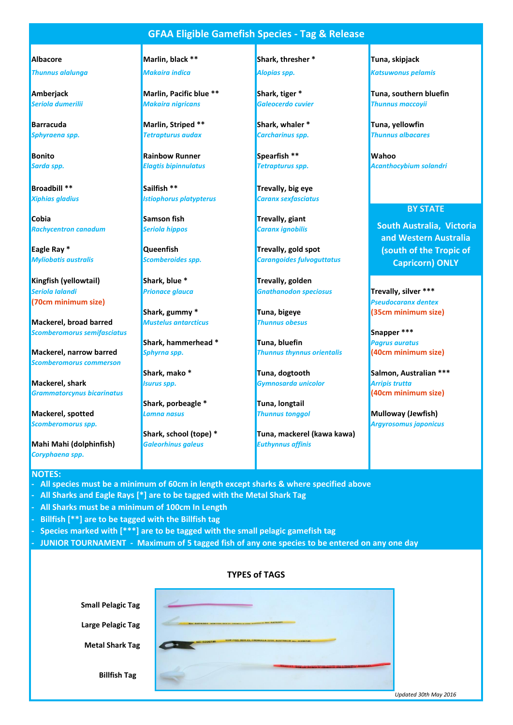### **GFAA Eligible Gamefish Species - Tag & Release**

*Thunnus alalunga Makaira indica Alopias spp. Katsuwonus pelamis*

**Cobia Samson fish Trevally, giant Cobia** *Rachycentron canadum Seriola hippos Caranx ignobilis*

**Eagle Ray \* CONFINGUARY CONSUMINGLY CONSUMINGLY RAY CONSUMINGLY PROPERTY RAY TREVALLY SET ASSESSMENT PROPERTY RAY CONSUMINGLY** 

**Kingfish (yellowtail) Shark, blue \*** Trevally, golden **(70cm minimum size)** *Pseudocaranx dentex*

**Mackerel, broad barred** *Mustelus antarcticus Thunnus obesus* **Scomberomorus semifasciatus <b>Snapper \*\*\* Snapper \*\*\* Snapper \*\*\*** 

*Scomberomorus commerson*

**Mackerel, shark** *Isurus spp. Gymnosarda unicolor Arripis trutta Grammatorcynus bicarinatus* **(40cm minimum size)**

**Mackerel, spotted** *Lamna nasus Thunnus tonggol* **Mulloway (Jewfish)** *Mulloway* (*Jewfish*)

**Mahi Mahi (dolphinfish)** *Galeorhinus galeus Euthynnus affinis Coryphaena spp.*

#### **NOTES:**

- **All species must be a minimum of 60cm in length except sharks & where specified above**
- **All Sharks and Eagle Rays [\*] are to be tagged with the Metal Shark Tag**
- **All Sharks must be a minimum of 100cm In Length**
- **Billfish [\*\*] are to be tagged with the Billfish tag**
- **Species marked with [\*\*\*] are to be tagged with the small pelagic gamefish tag**
- **JUNIOR TOURNAMENT Maximum of 5 tagged fish of any one species to be entered on any one day**

|                          | <b>TYPES of TAGS</b>                                                                  |
|--------------------------|---------------------------------------------------------------------------------------|
| <b>Small Pelagic Tag</b> |                                                                                       |
| <b>Large Pelagic Tag</b> | 1986, ENDX 21. CHENNER 6.4. DOGS. ACCOUNTATION NOT. INVESTIGATION<br>Mrs. Additionals |
| <b>Metal Shark Tag</b>   | NSW FISH, BOX 21, CRONULLA 2230, AUSTRALIA M. COORTAN<br>10 5220746                   |
| <b>Billfish Tag</b>      |                                                                                       |

#### **Albacore Marlin, black \*\* Shark, thresher \* Tuna, skipjack**

**Amberjack Marlin, Pacific blue \*\* Shark, tiger \* Tuna, southern bluefin** *Seriola dumerilii Makaira nigricans Galeocerdo cuvier Thunnus maccoyii*

*Sphyraena spp. Tetrapturus audax Carcharinus spp. Thunnus albacares*

**Bonito Rainbow Runner Spearfish \*\* Wahoo**

**Broadbill \*\* Sailfish \*\* Sailfish \*\* Trevally, big eye The** *Xiphias gladius Istiophorus platypterus Caranx sexfasciatus*

**Shark, porbeagle \* Tuna, longtail**

**Barracuda Marlin, Striped \*\* Shark, whaler \* Tuna, yellowfin** 

*Myliobatis australis Scomberoides spp. Carangoides fulvoguttatus*

*Seriola Ialandi Prionace glauca Gnathanodon speciosus* **Trevally, silver \*\*\***

**Shark, hammerhead \* Tuna, bluefin** *Pagrus auratus*  **Mackerel, narrow barred** *Sphyrna spp. Thunnus thynnus orientalis* **(40cm minimum size)**

**Shark, school (tope) \* Tuna, mackerel (kawa kawa)**

*Sarda spp. Elagtis bipinnulatus Tetrapturus spp. Acanthocybium solandri*

#### **BY STATE**

 **South Australia, Victoria and Western Australia (south of the Tropic of Capricorn) ONLY**

**Shark, gummy \* Tuna, bigeye (35cm minimum size)**

**Shark, mako \* Tuna, dogtooth Salmon, Australian \*\*\***

*Scomberomorus spp. Argyrosomus japonicus*

*Updated 30th May 2016*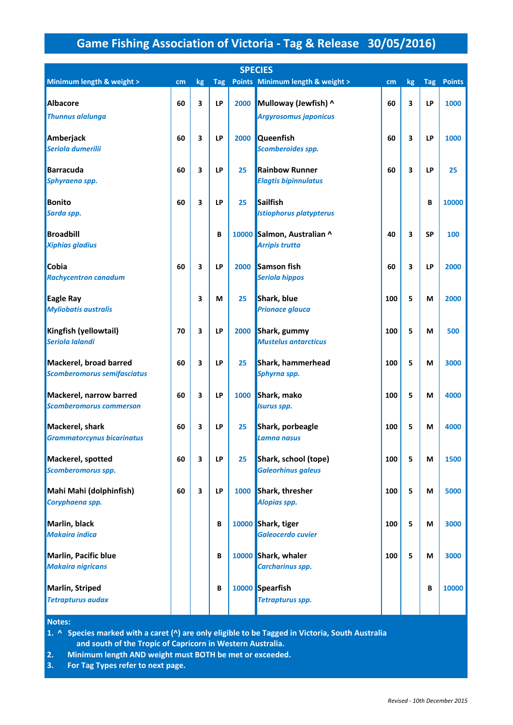# **Game Fishing Association of Victoria - Tag & Release 30/05/2016)**

|                                                           |    |    |            |      | <b>SPECIES</b>                                       |     |                         |           |               |
|-----------------------------------------------------------|----|----|------------|------|------------------------------------------------------|-----|-------------------------|-----------|---------------|
| Minimum length & weight >                                 | cm | kg | <b>Tag</b> |      | Points Minimum length & weight >                     | cm  | kg                      | Tag       | <b>Points</b> |
| <b>Albacore</b><br><b>Thunnus alalunga</b>                | 60 | 3  | LP         | 2000 | Mulloway (Jewfish) ^<br><b>Argyrosomus japonicus</b> | 60  | 3                       | LP        | 1000          |
| Amberjack<br>Seriola dumerilii                            | 60 | 3  | LP         | 2000 | <b>Queenfish</b><br>Scomberoides spp.                | 60  | $\overline{\mathbf{3}}$ | LP        | 1000          |
| <b>Barracuda</b><br>Sphyraena spp.                        | 60 | 3  | LP         | 25   | <b>Rainbow Runner</b><br><b>Elagtis bipinnulatus</b> | 60  | $\overline{\mathbf{3}}$ | <b>LP</b> | 25            |
| <b>Bonito</b><br>Sarda spp.                               | 60 | 3  | LP         | 25   | <b>Sailfish</b><br><b>Istiophorus platypterus</b>    |     |                         | B         | 10000         |
| <b>Broadbill</b><br><b>Xiphias gladius</b>                |    |    | B          |      | 10000 Salmon, Australian ^<br><b>Arripis trutta</b>  | 40  | 3                       | <b>SP</b> | 100           |
| Cobia<br><b>Rachycentron canadum</b>                      | 60 | 3  | LP         | 2000 | <b>Samson fish</b><br>Seriola hippos                 | 60  | 3                       | LP        | 2000          |
| <b>Eagle Ray</b><br><b>Myliobatis australis</b>           |    | 3  | М          | 25   | Shark, blue<br><b>Prionace glauca</b>                | 100 | 5                       | М         | 2000          |
| Kingfish (yellowtail)<br>Seriola Ialandi                  | 70 | 3  | LP         |      | 2000 Shark, gummy<br><b>Mustelus antarcticus</b>     | 100 | 5                       | М         | 500           |
| Mackerel, broad barred<br>Scomberomorus semifasciatus     | 60 | 3  | LP         | 25   | Shark, hammerhead<br>Sphyrna spp.                    | 100 | 5                       | M         | 3000          |
| Mackerel, narrow barred<br><b>Scomberomorus commerson</b> | 60 | 3  | LP         | 1000 | Shark, mako<br><b>Isurus spp.</b>                    | 100 | 5                       | M         | 4000          |
| Mackerel, shark<br><b>Grammatorcynus bicarinatus</b>      | 60 | 3  | LP         | 25   | Shark, porbeagle<br>Lamna nasus                      | 100 | 5                       | M         | 4000          |
| Mackerel, spotted<br>Scomberomorus spp.                   | 60 | 3  | LP         | 25   | Shark, school (tope)<br><b>Galeorhinus galeus</b>    | 100 | 5                       | М         | 1500          |
| Mahi Mahi (dolphinfish)<br>Coryphaena spp.                | 60 | 3  | <b>LP</b>  |      | 1000 Shark, thresher<br>Alopias spp.                 | 100 | 5                       | M         | 5000          |
| Marlin, black<br><b>Makaira indica</b>                    |    |    | B          |      | 10000 Shark, tiger<br><b>Galeocerdo cuvier</b>       | 100 | 5                       | M         | 3000          |
| Marlin, Pacific blue<br><b>Makaira nigricans</b>          |    |    | B          |      | 10000 Shark, whaler<br><b>Carcharinus spp.</b>       | 100 | 5                       | M         | 3000          |
| Marlin, Striped<br><b>Tetrapturus audax</b>               |    |    | B          |      | 10000 Spearfish<br><b>Tetrapturus spp.</b>           |     |                         | B         | 10000         |

**Notes:** 

 **and south of the Tropic of Capricorn in Western Australia. 1. ^ Species marked with a caret (^) are only eligible to be Tagged in Victoria, South Australia**

**2. Minimum length AND weight must BOTH be met or exceeded.**

**3. For Tag Types refer to next page.**